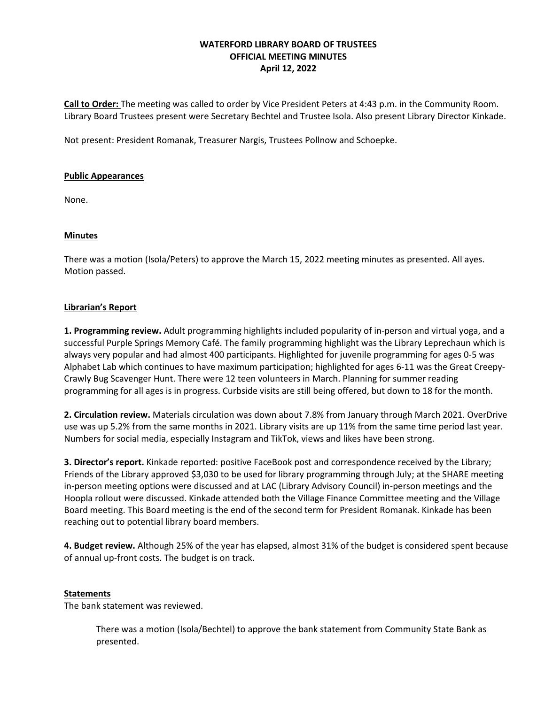# **WATERFORD LIBRARY BOARD OF TRUSTEES OFFICIAL MEETING MINUTES April 12, 2022**

**Call to Order:** The meeting was called to order by Vice President Peters at 4:43 p.m. in the Community Room. Library Board Trustees present were Secretary Bechtel and Trustee Isola. Also present Library Director Kinkade.

Not present: President Romanak, Treasurer Nargis, Trustees Pollnow and Schoepke.

### **Public Appearances**

None.

### **Minutes**

There was a motion (Isola/Peters) to approve the March 15, 2022 meeting minutes as presented. All ayes. Motion passed.

### **Librarian's Report**

**1. Programming review.** Adult programming highlights included popularity of in-person and virtual yoga, and a successful Purple Springs Memory Café. The family programming highlight was the Library Leprechaun which is always very popular and had almost 400 participants. Highlighted for juvenile programming for ages 0-5 was Alphabet Lab which continues to have maximum participation; highlighted for ages 6-11 was the Great Creepy-Crawly Bug Scavenger Hunt. There were 12 teen volunteers in March. Planning for summer reading programming for all ages is in progress. Curbside visits are still being offered, but down to 18 for the month.

**2. Circulation review.** Materials circulation was down about 7.8% from January through March 2021. OverDrive use was up 5.2% from the same months in 2021. Library visits are up 11% from the same time period last year. Numbers for social media, especially Instagram and TikTok, views and likes have been strong.

**3. Director's report.** Kinkade reported: positive FaceBook post and correspondence received by the Library; Friends of the Library approved \$3,030 to be used for library programming through July; at the SHARE meeting in-person meeting options were discussed and at LAC (Library Advisory Council) in-person meetings and the Hoopla rollout were discussed. Kinkade attended both the Village Finance Committee meeting and the Village Board meeting. This Board meeting is the end of the second term for President Romanak. Kinkade has been reaching out to potential library board members.

**4. Budget review.** Although 25% of the year has elapsed, almost 31% of the budget is considered spent because of annual up-front costs. The budget is on track.

#### **Statements**

The bank statement was reviewed.

There was a motion (Isola/Bechtel) to approve the bank statement from Community State Bank as presented.